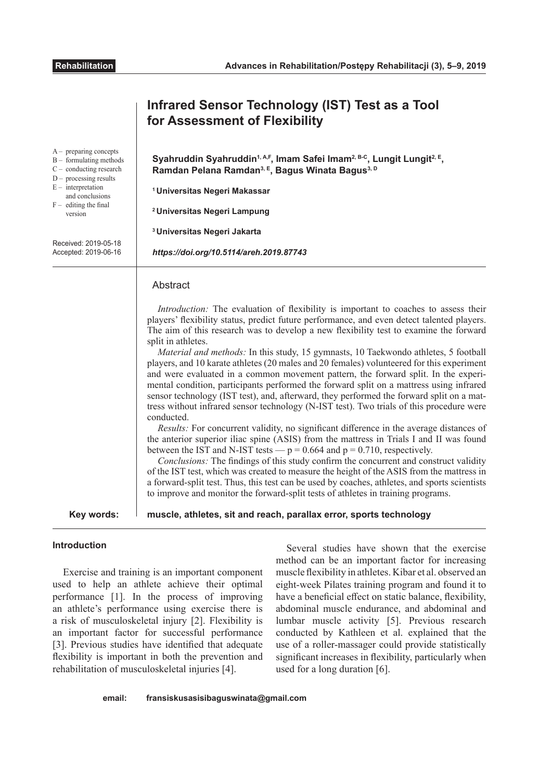|                                                                                                                                                                                                                                               | Infrared Sensor Technology (IST) Test as a Tool<br>for Assessment of Flexibility                                                                                                                                                                                                                                                                                                                                                                                                                                                                                                                                                                                                                                                                                                                                                                                                                                                                                                                                                                                                                                                                                                                                                                                                                                                                                                                                                                                                                                                                |
|-----------------------------------------------------------------------------------------------------------------------------------------------------------------------------------------------------------------------------------------------|-------------------------------------------------------------------------------------------------------------------------------------------------------------------------------------------------------------------------------------------------------------------------------------------------------------------------------------------------------------------------------------------------------------------------------------------------------------------------------------------------------------------------------------------------------------------------------------------------------------------------------------------------------------------------------------------------------------------------------------------------------------------------------------------------------------------------------------------------------------------------------------------------------------------------------------------------------------------------------------------------------------------------------------------------------------------------------------------------------------------------------------------------------------------------------------------------------------------------------------------------------------------------------------------------------------------------------------------------------------------------------------------------------------------------------------------------------------------------------------------------------------------------------------------------|
| $A -$ preparing concepts<br>B - formulating methods<br>$C -$ conducting research<br>$D -$ processing results<br>$E$ – interpretation<br>and conclusions<br>$F -$ editing the final<br>version<br>Received: 2019-05-18<br>Accepted: 2019-06-16 | Syahruddin Syahruddin <sup>1, A,F</sup> , Imam Safei Imam <sup>2, B-C</sup> , Lungit Lungit <sup>2, E</sup> ,<br>Ramdan Pelana Ramdan <sup>3, E</sup> , Bagus Winata Bagus <sup>3, D</sup><br><sup>1</sup> Universitas Negeri Makassar<br><sup>2</sup> Universitas Negeri Lampung<br><sup>3</sup> Universitas Negeri Jakarta<br>https://doi.org/10.5114/areh.2019.87743                                                                                                                                                                                                                                                                                                                                                                                                                                                                                                                                                                                                                                                                                                                                                                                                                                                                                                                                                                                                                                                                                                                                                                         |
|                                                                                                                                                                                                                                               | Abstract<br><i>Introduction:</i> The evaluation of flexibility is important to coaches to assess their<br>players' flexibility status, predict future performance, and even detect talented players.<br>The aim of this research was to develop a new flexibility test to examine the forward<br>split in athletes.<br>Material and methods: In this study, 15 gymnasts, 10 Taekwondo athletes, 5 football<br>players, and 10 karate athletes (20 males and 20 females) volunteered for this experiment<br>and were evaluated in a common movement pattern, the forward split. In the experi-<br>mental condition, participants performed the forward split on a mattress using infrared<br>sensor technology (IST test), and, afterward, they performed the forward split on a mat-<br>tress without infrared sensor technology (N-IST test). Two trials of this procedure were<br>conducted.<br>Results: For concurrent validity, no significant difference in the average distances of<br>the anterior superior iliac spine (ASIS) from the mattress in Trials I and II was found<br>between the IST and N-IST tests $-p = 0.664$ and $p = 0.710$ , respectively.<br>Conclusions: The findings of this study confirm the concurrent and construct validity<br>of the IST test, which was created to measure the height of the ASIS from the mattress in<br>a forward-split test. Thus, this test can be used by coaches, athletes, and sports scientists<br>to improve and monitor the forward-split tests of athletes in training programs. |
| Key words:                                                                                                                                                                                                                                    | muscle, athletes, sit and reach, parallax error, sports technology                                                                                                                                                                                                                                                                                                                                                                                                                                                                                                                                                                                                                                                                                                                                                                                                                                                                                                                                                                                                                                                                                                                                                                                                                                                                                                                                                                                                                                                                              |
|                                                                                                                                                                                                                                               |                                                                                                                                                                                                                                                                                                                                                                                                                                                                                                                                                                                                                                                                                                                                                                                                                                                                                                                                                                                                                                                                                                                                                                                                                                                                                                                                                                                                                                                                                                                                                 |

# **Introduction**

Exercise and training is an important component used to help an athlete achieve their optimal performance [1]. In the process of improving an athlete's performance using exercise there is a risk of musculoskeletal injury [2]. Flexibility is an important factor for successful performance [3]. Previous studies have identified that adequate flexibility is important in both the prevention and rehabilitation of musculoskeletal injuries [4].

Several studies have shown that the exercise method can be an important factor for increasing muscle flexibility in athletes. Kibar et al. observed an eight-week Pilates training program and found it to have a beneficial effect on static balance, flexibility, abdominal muscle endurance, and abdominal and lumbar muscle activity [5]. Previous research conducted by Kathleen et al. explained that the use of a roller-massager could provide statistically significant increases in flexibility, particularly when used for a long duration [6].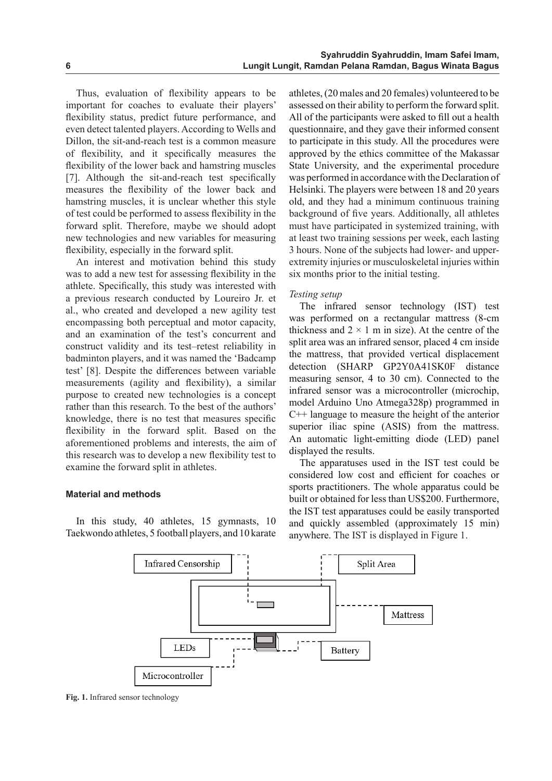Thus, evaluation of flexibility appears to be important for coaches to evaluate their players' flexibility status, predict future performance, and even detect talented players. According to Wells and Dillon, the sit-and-reach test is a common measure of flexibility, and it specifically measures the flexibility of the lower back and hamstring muscles [7]. Although the sit-and-reach test specifically measures the flexibility of the lower back and hamstring muscles, it is unclear whether this style of test could be performed to assess flexibility in the forward split. Therefore, maybe we should adopt new technologies and new variables for measuring flexibility, especially in the forward split.

An interest and motivation behind this study was to add a new test for assessing flexibility in the athlete. Specifically, this study was interested with a previous research conducted by Loureiro Jr. et al., who created and developed a new agility test encompassing both perceptual and motor capacity, and an examination of the test's concurrent and construct validity and its test–retest reliability in badminton players, and it was named the 'Badcamp test' [8]. Despite the differences between variable measurements (agility and flexibility), a similar purpose to created new technologies is a concept rather than this research. To the best of the authors' knowledge, there is no test that measures specific flexibility in the forward split. Based on the aforementioned problems and interests, the aim of this research was to develop a new flexibility test to examine the forward split in athletes.

## **Material and methods**

In this study, 40 athletes, 15 gymnasts, 10 Taekwondo athletes, 5 football players, and 10 karate athletes,(20 males and 20 females) volunteered to be assessed on their ability to perform the forward split. All of the participants were asked to fill out a health questionnaire, and they gave their informed consent to participate in this study. All the procedures were approved by the ethics committee of the Makassar State University, and the experimental procedure was performed in accordance with the Declaration of Helsinki. The players were between 18 and 20 years old, and they had a minimum continuous training background of five years. Additionally, all athletes must have participated in systemized training, with at least two training sessions per week, each lasting 3 hours. None of the subjects had lower- and upperextremity injuries or musculoskeletal injuries within six months prior to the initial testing.

### *Testing setup*

The infrared sensor technology (IST) test was performed on a rectangular mattress (8-cm thickness and  $2 \times 1$  m in size). At the centre of the split area was an infrared sensor, placed 4 cm inside the mattress, that provided vertical displacement detection (SHARP GP2Y0A41SK0F distance measuring sensor, 4 to 30 cm). Connected to the infrared sensor was a microcontroller (microchip, model Arduino Uno Atmega328p) programmed in C++ language to measure the height of the anterior superior iliac spine (ASIS) from the mattress. An automatic light-emitting diode (LED) panel displayed the results.

The apparatuses used in the IST test could be considered low cost and efficient for coaches or sports practitioners. The whole apparatus could be built or obtained for less than US\$200. Furthermore, the IST test apparatuses could be easily transported and quickly assembled (approximately 15 min) anywhere. The IST is displayed in Figure 1.



**Fig. 1.** Infrared sensor technology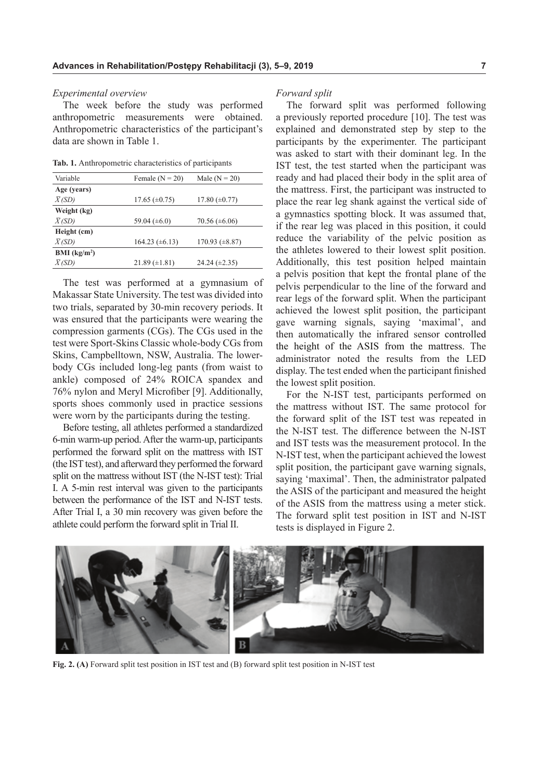#### *Experimental overview*

The week before the study was performed anthropometric measurements were obtained. Anthropometric characteristics of the participant's data are shown in Table 1.

**Tab. 1.** Anthropometric characteristics of participants

| Variable                 | Female $(N = 20)$    | Male $(N = 20)$      |
|--------------------------|----------------------|----------------------|
| Age (years)              |                      |                      |
| $\bar{X}$ (SD)           | 17.65 $(\pm 0.75)$   | 17.80 $(\pm 0.77)$   |
| Weight (kg)              |                      |                      |
| $\overline{X(SD)}$       | 59.04 $(\pm 6.0)$    | $70.56 \ (\pm 6.06)$ |
| Height (cm)              |                      |                      |
| $\overline{X(SD)}$       | 164.23 $(\pm 6.13)$  | 170.93 $(\pm 8.87)$  |
| BMI (kg/m <sup>2</sup> ) |                      |                      |
| $\overline{X(SD)}$       | $21.89 \ (\pm 1.81)$ | 24.24 $(\pm 2.35)$   |

The test was performed at a gymnasium of Makassar State University. The test was divided into two trials, separated by 30-min recovery periods. It was ensured that the participants were wearing the compression garments (CGs). The CGs used in the test were Sport-Skins Classic whole-body CGs from Skins, Campbelltown, NSW, Australia. The lowerbody CGs included long-leg pants (from waist to ankle) composed of 24% ROICA spandex and 76% nylon and Meryl Microfiber [9]. Additionally, sports shoes commonly used in practice sessions were worn by the participants during the testing.

Before testing, all athletes performed a standardized 6-min warm-up period. After the warm-up, participants performed the forward split on the mattress with IST (the IST test), and afterward they performed the forward split on the mattress without IST (the N-IST test): Trial I. A 5-min rest interval was given to the participants between the performance of the IST and N-IST tests. After Trial I, a 30 min recovery was given before the athlete could perform the forward split in Trial II.

#### *Forward split*

The forward split was performed following a previously reported procedure [10]. The test was explained and demonstrated step by step to the participants by the experimenter. The participant was asked to start with their dominant leg. In the IST test, the test started when the participant was ready and had placed their body in the split area of the mattress. First, the participant was instructed to place the rear leg shank against the vertical side of a gymnastics spotting block. It was assumed that, if the rear leg was placed in this position, it could reduce the variability of the pelvic position as the athletes lowered to their lowest split position. Additionally, this test position helped maintain a pelvis position that kept the frontal plane of the pelvis perpendicular to the line of the forward and rear legs of the forward split. When the participant achieved the lowest split position, the participant gave warning signals, saying 'maximal', and then automatically the infrared sensor controlled the height of the ASIS from the mattress. The administrator noted the results from the LED display. The test ended when the participant finished the lowest split position.

For the N-IST test, participants performed on the mattress without IST. The same protocol for the forward split of the IST test was repeated in the N-IST test. The difference between the N-IST and IST tests was the measurement protocol. In the N-IST test, when the participant achieved the lowest split position, the participant gave warning signals, saying 'maximal'. Then, the administrator palpated the ASIS of the participant and measured the height of the ASIS from the mattress using a meter stick. The forward split test position in IST and N-IST tests is displayed in Figure 2.



**Fig. 2. (A)** Forward split test position in IST test and (B) forward split test position in N-IST test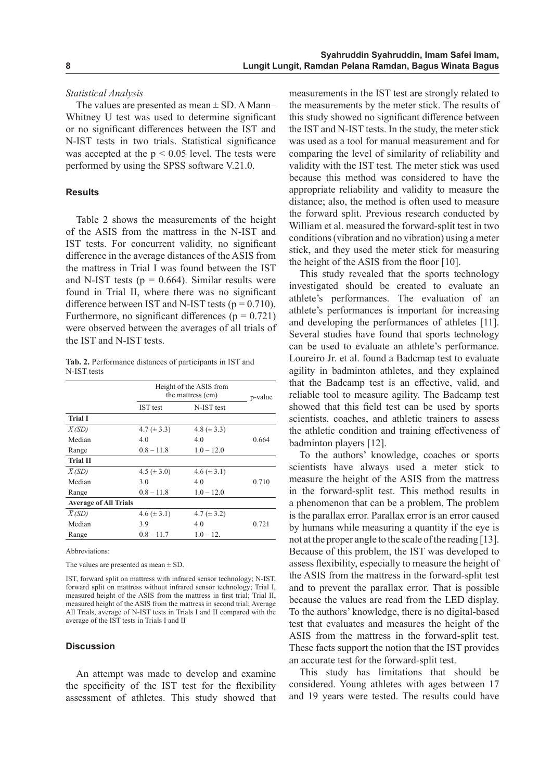#### *Statistical Analysis*

The values are presented as mean  $\pm$  SD. A Mann– Whitney U test was used to determine significant or no significant differences between the IST and N-IST tests in two trials. Statistical significance was accepted at the  $p < 0.05$  level. The tests were performed by using the SPSS software V.21.0.

#### **Results**

Table 2 shows the measurements of the height of the ASIS from the mattress in the N-IST and IST tests. For concurrent validity, no significant difference in the average distances of the ASIS from the mattress in Trial I was found between the IST and N-IST tests ( $p = 0.664$ ). Similar results were found in Trial II, where there was no significant difference between IST and N-IST tests ( $p = 0.710$ ). Furthermore, no significant differences ( $p = 0.721$ ) were observed between the averages of all trials of the IST and N-IST tests.

**Tab. 2.** Performance distances of participants in IST and N-IST tests

|                              | Height of the ASIS from<br>the mattress (cm) |                  | p-value |
|------------------------------|----------------------------------------------|------------------|---------|
|                              | IST test                                     | N-IST test       |         |
| <b>Trial I</b>               |                                              |                  |         |
| $\bar{X}$ (SD)               | 4.7 $(\pm 3.3)$                              | 4.8 ( $\pm$ 3.3) |         |
| Median                       | 4.0                                          | 4.0              | 0.664   |
| Range                        | $0.8 - 11.8$                                 | $1.0 - 12.0$     |         |
| <b>Trial II</b>              |                                              |                  |         |
| $\bar{X}$ (SD)               | 4.5 ( $\pm$ 3.0)                             | $4.6 (\pm 3.1)$  |         |
| Median                       | 3.0                                          | 4.0              | 0.710   |
| Range                        | $0.8 - 11.8$                                 | $1.0 - 12.0$     |         |
| <b>Average of All Trials</b> |                                              |                  |         |
| $\bar{X}$ (SD)               | $4.6 (\pm 3.1)$                              | 4.7 ( $\pm$ 3.2) |         |
| Median                       | 3.9                                          | 4.0              | 0.721   |
| Range                        | $0.8 - 11.7$                                 | $1.0 - 12.$      |         |

Abbreviations:

The values are presented as mean  $\pm$  SD.

IST, forward split on mattress with infrared sensor technology; N-IST, forward split on mattress without infrared sensor technology; Trial I, measured height of the ASIS from the mattress in first trial; Trial II, measured height of the ASIS from the mattress in second trial; Average All Trials, average of N-IST tests in Trials I and II compared with the average of the IST tests in Trials I and II

### **Discussion**

An attempt was made to develop and examine the specificity of the IST test for the flexibility assessment of athletes. This study showed that

measurements in the IST test are strongly related to the measurements by the meter stick. The results of this study showed no significant difference between the IST and N-IST tests. In the study, the meter stick was used as a tool for manual measurement and for comparing the level of similarity of reliability and validity with the IST test. The meter stick was used because this method was considered to have the appropriate reliability and validity to measure the distance; also, the method is often used to measure the forward split. Previous research conducted by William et al. measured the forward-split test in two conditions (vibration and no vibration) using a meter stick, and they used the meter stick for measuring the height of the ASIS from the floor [10].

This study revealed that the sports technology investigated should be created to evaluate an athlete's performances. The evaluation of an athlete's performances is important for increasing and developing the performances of athletes [11]. Several studies have found that sports technology can be used to evaluate an athlete's performance. Loureiro Jr. et al. found a Badcmap test to evaluate agility in badminton athletes, and they explained that the Badcamp test is an effective, valid, and reliable tool to measure agility. The Badcamp test showed that this field test can be used by sports scientists, coaches, and athletic trainers to assess the athletic condition and training effectiveness of badminton players [12].

To the authors' knowledge, coaches or sports scientists have always used a meter stick to measure the height of the ASIS from the mattress in the forward-split test. This method results in a phenomenon that can be a problem. The problem is the parallax error. Parallax error is an error caused by humans while measuring a quantity if the eye is not at the proper angle to the scale of the reading [13]. Because of this problem, the IST was developed to assess flexibility, especially to measure the height of the ASIS from the mattress in the forward-split test and to prevent the parallax error. That is possible because the values are read from the LED display. To the authors' knowledge, there is no digital-based test that evaluates and measures the height of the ASIS from the mattress in the forward-split test. These facts support the notion that the IST provides an accurate test for the forward-split test.

This study has limitations that should be considered. Young athletes with ages between 17 and 19 years were tested. The results could have